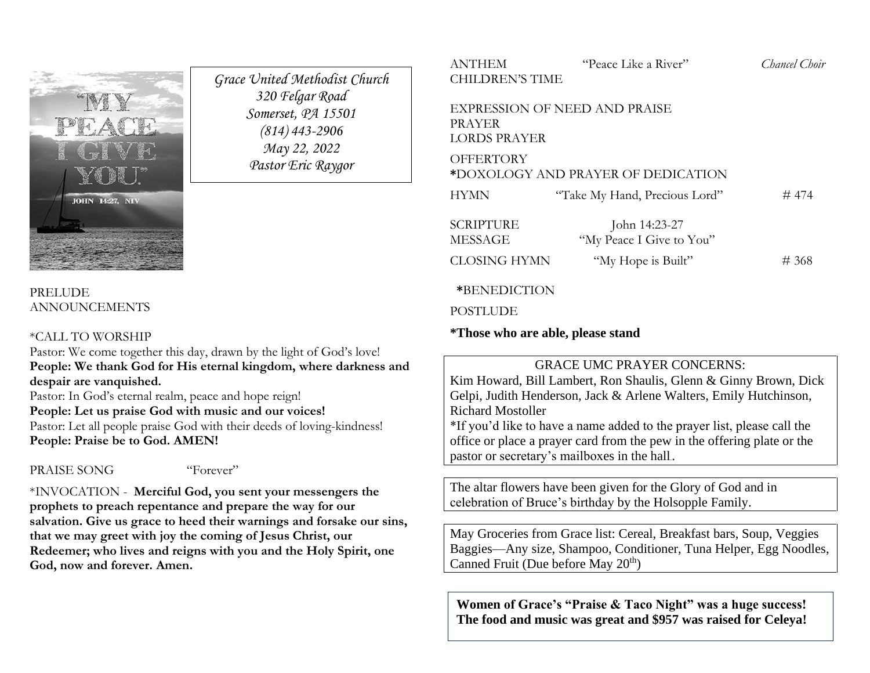

#### PRELUDE ANNOUNCEMENTS

#### \*CALL TO WORSHIP

Pastor: We come together this day, drawn by the light of God's love! **People: We thank God for His eternal kingdom, where darkness and despair are vanquished.**

*Grace United Methodist Church 320 Felgar Road Somerset, PA 15501 (814) 443-2906 May 22, 2022 Pastor Eric Raygor*

Pastor: In God's eternal realm, peace and hope reign! **People: Let us praise God with music and our voices!** Pastor: Let all people praise God with their deeds of loving-kindness! **People: Praise be to God. AMEN!**

PRAISE SONG "Forever"

\*INVOCATION - **Merciful God, you sent your messengers the prophets to preach repentance and prepare the way for our salvation. Give us grace to heed their warnings and forsake our sins, that we may greet with joy the coming of Jesus Christ, our Redeemer; who lives and reigns with you and the Holy Spirit, one God, now and forever. Amen.**

# ANTHEM "Peace Like a River" *Chancel Choir* CHILDREN'S TIME

EXPRESSION OF NEED AND PRAISE PRAYER LORDS PRAYER

**OFFERTORY** 

**\***DOXOLOGY AND PRAYER OF DEDICATION

| <b>HYMN</b>                 | "Take My Hand, Precious Lord"             | #474 |
|-----------------------------|-------------------------------------------|------|
| <b>SCRIPTURE</b><br>MESSAGE | John 14:23-27<br>"My Peace I Give to You" |      |
| <b>CLOSING HYMN</b>         | "My Hope is Built"                        | #368 |

#### **\***BENEDICTION

**POSTLUDE** 

**\*Those who are able, please stand**

### GRACE UMC PRAYER CONCERNS:

Kim Howard, Bill Lambert, Ron Shaulis, Glenn & Ginny Brown, Dick Gelpi, Judith Henderson, Jack & Arlene Walters, Emily Hutchinson, Richard Mostoller

\*If you'd like to have a name added to the prayer list, please call the office or place a prayer card from the pew in the offering plate or the pastor or secretary's mailboxes in the hall..

The altar flowers have been given for the Glory of God and in celebration of Bruce's birthday by the Holsopple Family.

May Groceries from Grace list: Cereal, Breakfast bars, Soup, Veggies Baggies—Any size, Shampoo, Conditioner, Tuna Helper, Egg Noodles, Canned Fruit (Due before May 20<sup>th</sup>)

**Women of Grace's "Praise & Taco Night" was a huge success! The food and music was great and \$957 was raised for Celeya!**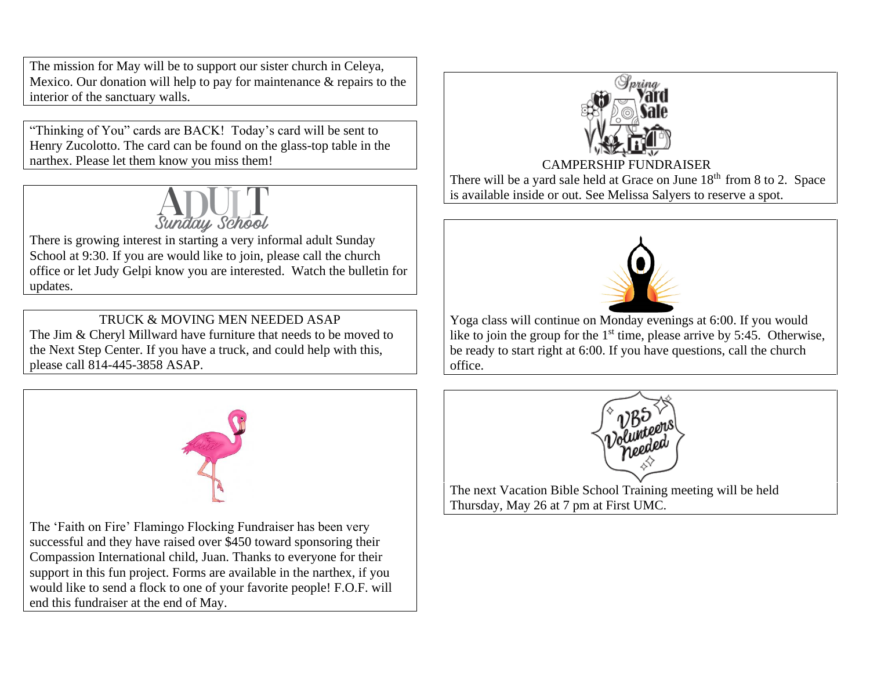The mission for May will be to support our sister church in Celeya, Mexico. Our donation will help to pay for maintenance & repairs to the interior of the sanctuary walls.

"Thinking of You" cards are BACK! Today's card will be sent to Henry Zucolotto. The card can be found on the glass-top table in the narthex. Please let them know you miss them!



There is growing interest in starting a very informal adult Sunday School at 9:30. If you are would like to join, please call the church office or let Judy Gelpi know you are interested. Watch the bulletin for updates.

## TRUCK & MOVING MEN NEEDED ASAP

The Jim & Cheryl Millward have furniture that needs to be moved to the Next Step Center. If you have a truck, and could help with this, please call 814-445-3858 ASAP.



The 'Faith on Fire' Flamingo Flocking Fundraiser has been very successful and they have raised over \$450 toward sponsoring their Compassion International child, Juan. Thanks to everyone for their support in this fun project. Forms are available in the narthex, if you would like to send a flock to one of your favorite people! F.O.F. will end this fundraiser at the end of May.



CAMPERSHIP FUNDRAISER

There will be a yard sale held at Grace on June  $18<sup>th</sup>$  from 8 to 2. Space is available inside or out. See Melissa Salyers to reserve a spot.



Yoga class will continue on Monday evenings at 6:00. If you would like to join the group for the  $1<sup>st</sup>$  time, please arrive by 5:45. Otherwise, be ready to start right at 6:00. If you have questions, call the church office.



The next Vacation Bible School Training meeting will be held Thursday, May 26 at 7 pm at First UMC.